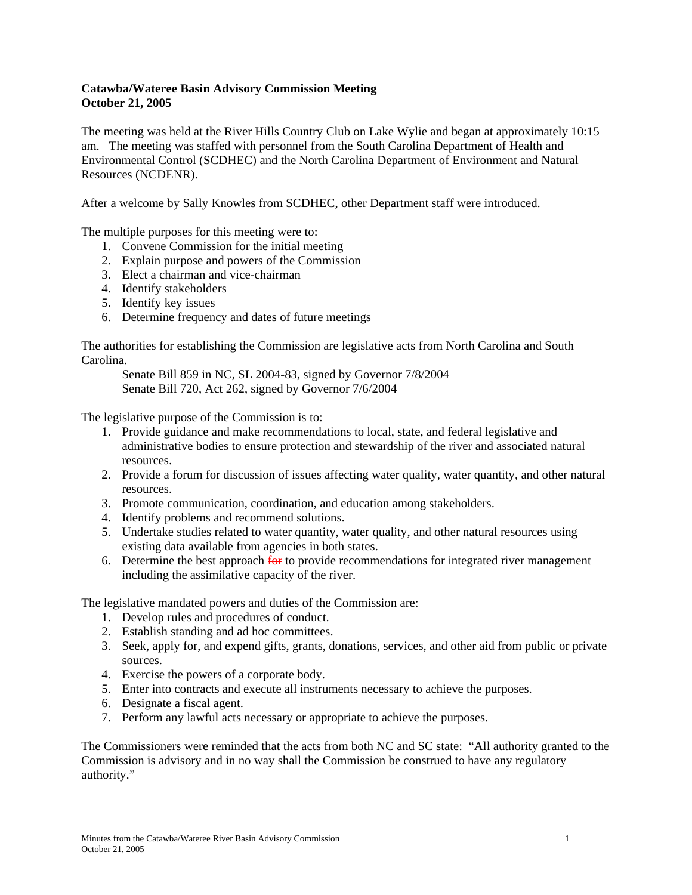## **Catawba/Wateree Basin Advisory Commission Meeting October 21, 2005**

The meeting was held at the River Hills Country Club on Lake Wylie and began at approximately 10:15 am. The meeting was staffed with personnel from the South Carolina Department of Health and Environmental Control (SCDHEC) and the North Carolina Department of Environment and Natural Resources (NCDENR).

After a welcome by Sally Knowles from SCDHEC, other Department staff were introduced.

The multiple purposes for this meeting were to:

- 1. Convene Commission for the initial meeting
- 2. Explain purpose and powers of the Commission
- 3. Elect a chairman and vice-chairman
- 4. Identify stakeholders
- 5. Identify key issues
- 6. Determine frequency and dates of future meetings

The authorities for establishing the Commission are legislative acts from North Carolina and South Carolina.

 Senate Bill 859 in NC, SL 2004-83, signed by Governor 7/8/2004 Senate Bill 720, Act 262, signed by Governor 7/6/2004

The legislative purpose of the Commission is to:

- 1. Provide guidance and make recommendations to local, state, and federal legislative and administrative bodies to ensure protection and stewardship of the river and associated natural resources.
- 2. Provide a forum for discussion of issues affecting water quality, water quantity, and other natural resources.
- 3. Promote communication, coordination, and education among stakeholders.
- 4. Identify problems and recommend solutions.
- 5. Undertake studies related to water quantity, water quality, and other natural resources using existing data available from agencies in both states.
- 6. Determine the best approach  $\frac{f_{\text{OF}}}{f_{\text{OF}}}$  to provide recommendations for integrated river management including the assimilative capacity of the river.

The legislative mandated powers and duties of the Commission are:

- 1. Develop rules and procedures of conduct.
- 2. Establish standing and ad hoc committees.
- 3. Seek, apply for, and expend gifts, grants, donations, services, and other aid from public or private sources.
- 4. Exercise the powers of a corporate body.
- 5. Enter into contracts and execute all instruments necessary to achieve the purposes.
- 6. Designate a fiscal agent.
- 7. Perform any lawful acts necessary or appropriate to achieve the purposes.

The Commissioners were reminded that the acts from both NC and SC state: "All authority granted to the Commission is advisory and in no way shall the Commission be construed to have any regulatory authority."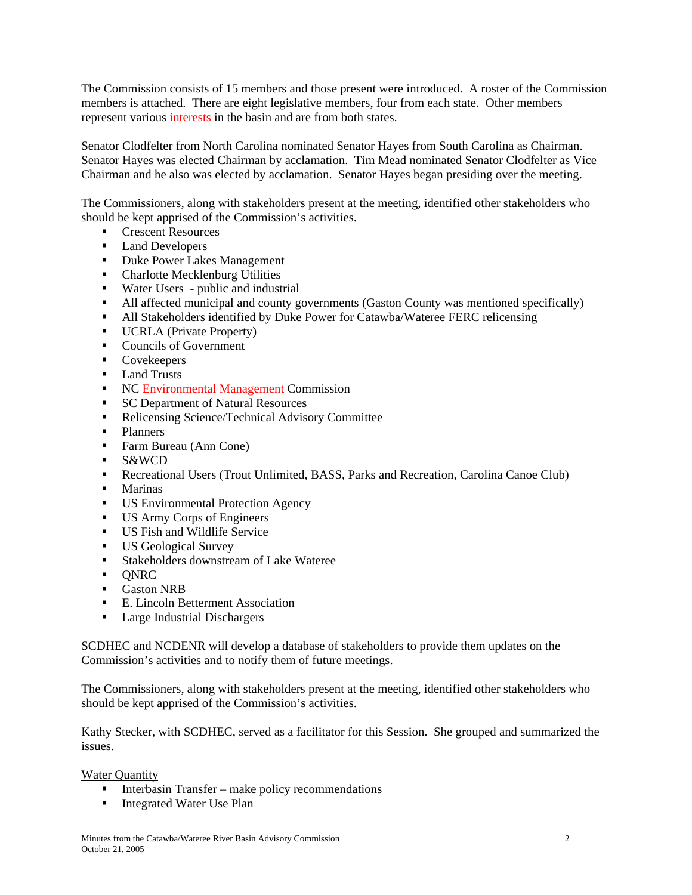The Commission consists of 15 members and those present were introduced. A roster of the Commission members is attached. There are eight legislative members, four from each state. Other members represent various interests in the basin and are from both states.

Senator Clodfelter from North Carolina nominated Senator Hayes from South Carolina as Chairman. Senator Hayes was elected Chairman by acclamation. Tim Mead nominated Senator Clodfelter as Vice Chairman and he also was elected by acclamation. Senator Hayes began presiding over the meeting.

The Commissioners, along with stakeholders present at the meeting, identified other stakeholders who should be kept apprised of the Commission's activities.

- Crescent Resources
- Land Developers
- **Duke Power Lakes Management**
- Charlotte Mecklenburg Utilities
- Water Users public and industrial
- All affected municipal and county governments (Gaston County was mentioned specifically)
- All Stakeholders identified by Duke Power for Catawba/Wateree FERC relicensing
- **UCRLA** (Private Property)
- Councils of Government
- Covekeepers
- **Land Trusts**
- NC Environmental Management Commission
- **SC Department of Natural Resources**
- Relicensing Science/Technical Advisory Committee
- **Planners**
- Farm Bureau (Ann Cone)
- S&WCD
- Recreational Users (Trout Unlimited, BASS, Parks and Recreation, Carolina Canoe Club)
- **Marinas**
- **US Environmental Protection Agency**
- US Army Corps of Engineers
- **US Fish and Wildlife Service**
- **US Geological Survey**
- **Stakeholders downstream of Lake Wateree**
- $\blacksquare$  ONRC
- **Gaston NRB**
- E. Lincoln Betterment Association
- **Large Industrial Dischargers**

SCDHEC and NCDENR will develop a database of stakeholders to provide them updates on the Commission's activities and to notify them of future meetings.

The Commissioners, along with stakeholders present at the meeting, identified other stakeholders who should be kept apprised of the Commission's activities.

Kathy Stecker, with SCDHEC, served as a facilitator for this Session. She grouped and summarized the issues.

Water Quantity

- $\blacksquare$  Interbasin Transfer make policy recommendations
- **Integrated Water Use Plan**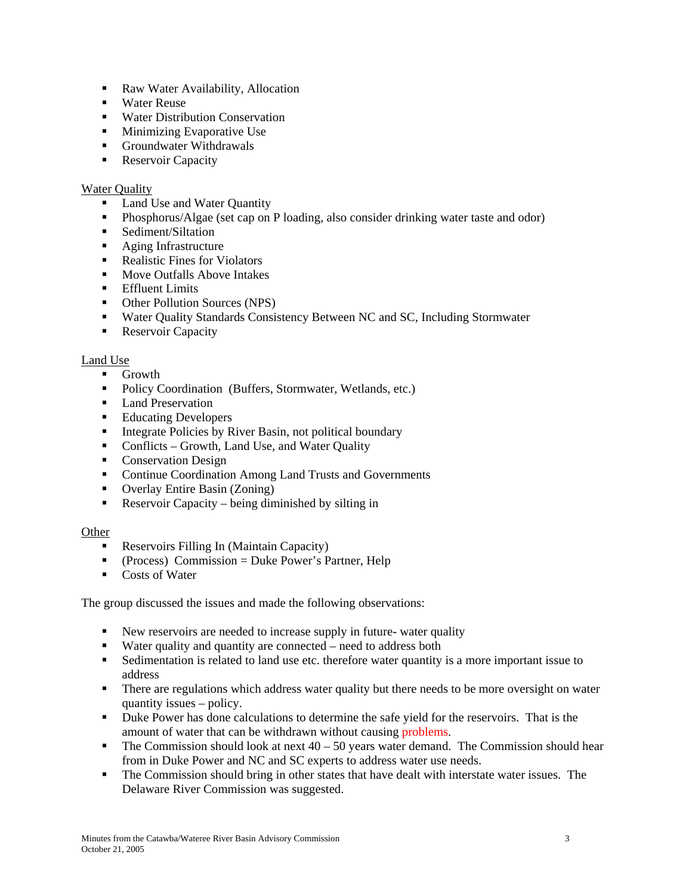- Raw Water Availability, Allocation
- Water Reuse
- Water Distribution Conservation
- **Minimizing Evaporative Use**
- **Groundwater Withdrawals**
- **Reservoir Capacity**

## **Water Quality**

- Land Use and Water Quantity
- Phosphorus/Algae (set cap on P loading, also consider drinking water taste and odor)
- Sediment/Siltation
- **Aging Infrastructure**
- Realistic Fines for Violators
- **Move Outfalls Above Intakes**
- **Effluent Limits**
- Other Pollution Sources (NPS)
- Water Quality Standards Consistency Between NC and SC, Including Stormwater
- **Reservoir Capacity**

## Land Use

- **Growth**
- Policy Coordination (Buffers, Stormwater, Wetlands, etc.)
- **Land Preservation**
- Educating Developers
- Integrate Policies by River Basin, not political boundary
- Conflicts Growth, Land Use, and Water Quality
- Conservation Design
- Continue Coordination Among Land Trusts and Governments
- Overlay Entire Basin (Zoning)
- Reservoir Capacity being diminished by silting in

## **Other**

- Reservoirs Filling In (Maintain Capacity)
- $\blacksquare$  (Process) Commission = Duke Power's Partner, Help
- Costs of Water

The group discussed the issues and made the following observations:

- New reservoirs are needed to increase supply in future- water quality
- Water quality and quantity are connected need to address both
- Sedimentation is related to land use etc. therefore water quantity is a more important issue to address
- There are regulations which address water quality but there needs to be more oversight on water quantity issues – policy.
- Duke Power has done calculations to determine the safe yield for the reservoirs. That is the amount of water that can be withdrawn without causing problems.
- The Commission should look at next  $40 50$  years water demand. The Commission should hear from in Duke Power and NC and SC experts to address water use needs.
- The Commission should bring in other states that have dealt with interstate water issues. The Delaware River Commission was suggested.